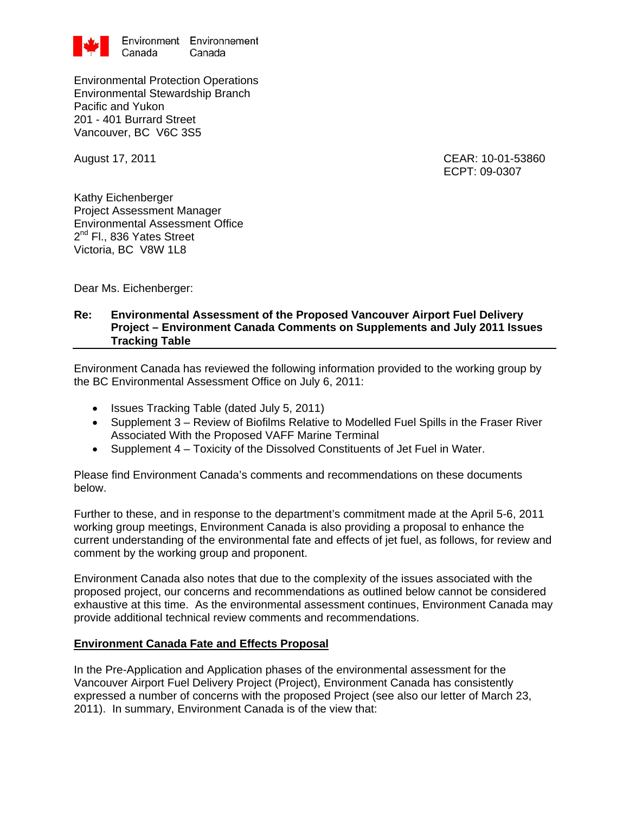

Environmental Protection Operations Environmental Stewardship Branch Pacific and Yukon 201 - 401 Burrard Street Vancouver, BC V6C 3S5

August 17, 2011 CEAR: 10-01-53860 ECPT: 09-0307

Kathy Eichenberger Project Assessment Manager Environmental Assessment Office 2<sup>nd</sup> Fl., 836 Yates Street Victoria, BC V8W 1L8

Dear Ms. Eichenberger:

#### **Re: Environmental Assessment of the Proposed Vancouver Airport Fuel Delivery Project – Environment Canada Comments on Supplements and July 2011 Issues Tracking Table**

Environment Canada has reviewed the following information provided to the working group by the BC Environmental Assessment Office on July 6, 2011:

- Issues Tracking Table (dated July 5, 2011)
- Supplement 3 Review of Biofilms Relative to Modelled Fuel Spills in the Fraser River Associated With the Proposed VAFF Marine Terminal
- Supplement 4 Toxicity of the Dissolved Constituents of Jet Fuel in Water.

Please find Environment Canada's comments and recommendations on these documents below.

Further to these, and in response to the department's commitment made at the April 5-6, 2011 working group meetings, Environment Canada is also providing a proposal to enhance the current understanding of the environmental fate and effects of jet fuel, as follows, for review and comment by the working group and proponent.

Environment Canada also notes that due to the complexity of the issues associated with the proposed project, our concerns and recommendations as outlined below cannot be considered exhaustive at this time. As the environmental assessment continues, Environment Canada may provide additional technical review comments and recommendations.

#### **Environment Canada Fate and Effects Proposal**

In the Pre-Application and Application phases of the environmental assessment for the Vancouver Airport Fuel Delivery Project (Project), Environment Canada has consistently expressed a number of concerns with the proposed Project (see also our letter of March 23, 2011). In summary, Environment Canada is of the view that: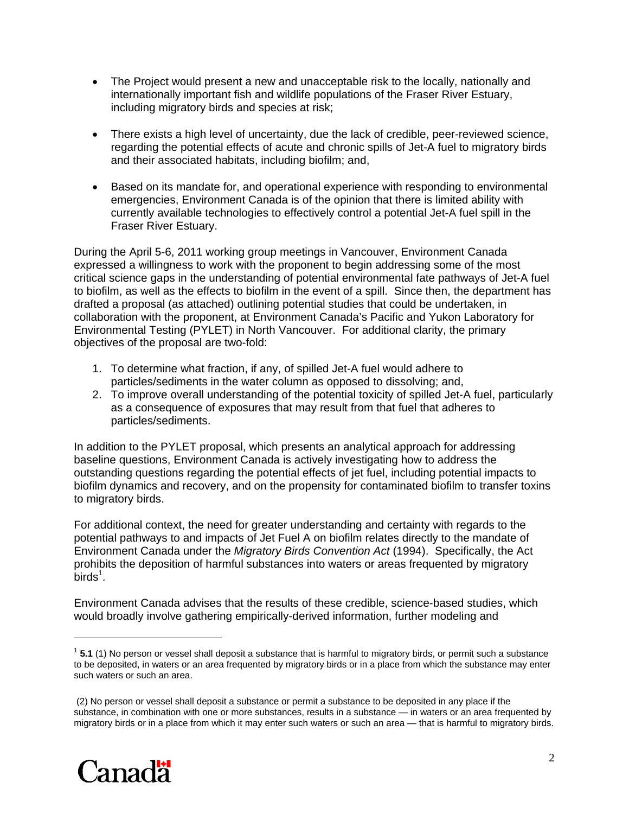- The Project would present a new and unacceptable risk to the locally, nationally and internationally important fish and wildlife populations of the Fraser River Estuary, including migratory birds and species at risk;
- There exists a high level of uncertainty, due the lack of credible, peer-reviewed science, regarding the potential effects of acute and chronic spills of Jet-A fuel to migratory birds and their associated habitats, including biofilm; and,
- Based on its mandate for, and operational experience with responding to environmental emergencies, Environment Canada is of the opinion that there is limited ability with currently available technologies to effectively control a potential Jet-A fuel spill in the Fraser River Estuary.

During the April 5-6, 2011 working group meetings in Vancouver, Environment Canada expressed a willingness to work with the proponent to begin addressing some of the most critical science gaps in the understanding of potential environmental fate pathways of Jet-A fuel to biofilm, as well as the effects to biofilm in the event of a spill. Since then, the department has drafted a proposal (as attached) outlining potential studies that could be undertaken, in collaboration with the proponent, at Environment Canada's Pacific and Yukon Laboratory for Environmental Testing (PYLET) in North Vancouver. For additional clarity, the primary objectives of the proposal are two-fold:

- 1. To determine what fraction, if any, of spilled Jet-A fuel would adhere to particles/sediments in the water column as opposed to dissolving; and,
- 2. To improve overall understanding of the potential toxicity of spilled Jet-A fuel, particularly as a consequence of exposures that may result from that fuel that adheres to particles/sediments.

In addition to the PYLET proposal, which presents an analytical approach for addressing baseline questions, Environment Canada is actively investigating how to address the outstanding questions regarding the potential effects of jet fuel, including potential impacts to biofilm dynamics and recovery, and on the propensity for contaminated biofilm to transfer toxins to migratory birds.

For additional context, the need for greater understanding and certainty with regards to the potential pathways to and impacts of Jet Fuel A on biofilm relates directly to the mandate of Environment Canada under the *Migratory Birds Convention Act* (1994). Specifically, the Act prohibits the deposition of harmful substances into waters or areas frequented by migratory  $\text{birds}^1$ .

Environment Canada advises that the results of these credible, science-based studies, which would broadly involve gathering empirically-derived information, further modeling and

 <sup>(2)</sup> No person or vessel shall deposit a substance or permit a substance to be deposited in any place if the substance, in combination with one or more substances, results in a substance — in waters or an area frequented by migratory birds or in a place from which it may enter such waters or such an area — that is harmful to migratory birds.



 $\overline{a}$ 

<sup>1</sup> **5.1** (1) No person or vessel shall deposit a substance that is harmful to migratory birds, or permit such a substance to be deposited, in waters or an area frequented by migratory birds or in a place from which the substance may enter such waters or such an area.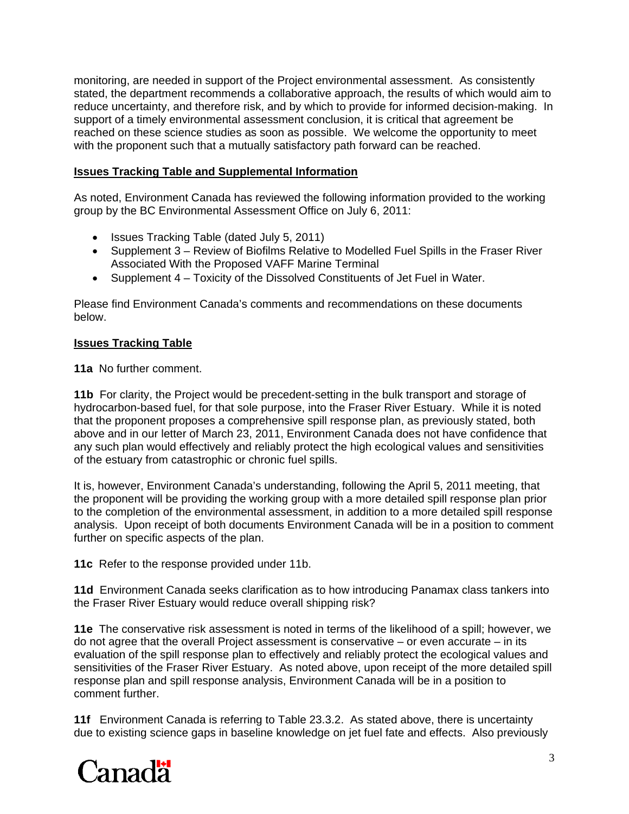monitoring, are needed in support of the Project environmental assessment. As consistently stated, the department recommends a collaborative approach, the results of which would aim to reduce uncertainty, and therefore risk, and by which to provide for informed decision-making. In support of a timely environmental assessment conclusion, it is critical that agreement be reached on these science studies as soon as possible. We welcome the opportunity to meet with the proponent such that a mutually satisfactory path forward can be reached.

## **Issues Tracking Table and Supplemental Information**

As noted, Environment Canada has reviewed the following information provided to the working group by the BC Environmental Assessment Office on July 6, 2011:

- Issues Tracking Table (dated July 5, 2011)
- Supplement 3 Review of Biofilms Relative to Modelled Fuel Spills in the Fraser River Associated With the Proposed VAFF Marine Terminal
- Supplement 4 Toxicity of the Dissolved Constituents of Jet Fuel in Water.

Please find Environment Canada's comments and recommendations on these documents below.

## **Issues Tracking Table**

**11a** No further comment.

**11b** For clarity, the Project would be precedent-setting in the bulk transport and storage of hydrocarbon-based fuel, for that sole purpose, into the Fraser River Estuary. While it is noted that the proponent proposes a comprehensive spill response plan, as previously stated, both above and in our letter of March 23, 2011, Environment Canada does not have confidence that any such plan would effectively and reliably protect the high ecological values and sensitivities of the estuary from catastrophic or chronic fuel spills.

It is, however, Environment Canada's understanding, following the April 5, 2011 meeting, that the proponent will be providing the working group with a more detailed spill response plan prior to the completion of the environmental assessment, in addition to a more detailed spill response analysis. Upon receipt of both documents Environment Canada will be in a position to comment further on specific aspects of the plan.

**11c** Refer to the response provided under 11b.

**11d** Environment Canada seeks clarification as to how introducing Panamax class tankers into the Fraser River Estuary would reduce overall shipping risk?

**11e** The conservative risk assessment is noted in terms of the likelihood of a spill; however, we do not agree that the overall Project assessment is conservative – or even accurate – in its evaluation of the spill response plan to effectively and reliably protect the ecological values and sensitivities of the Fraser River Estuary. As noted above, upon receipt of the more detailed spill response plan and spill response analysis, Environment Canada will be in a position to comment further.

**11f** Environment Canada is referring to Table 23.3.2. As stated above, there is uncertainty due to existing science gaps in baseline knowledge on jet fuel fate and effects. Also previously

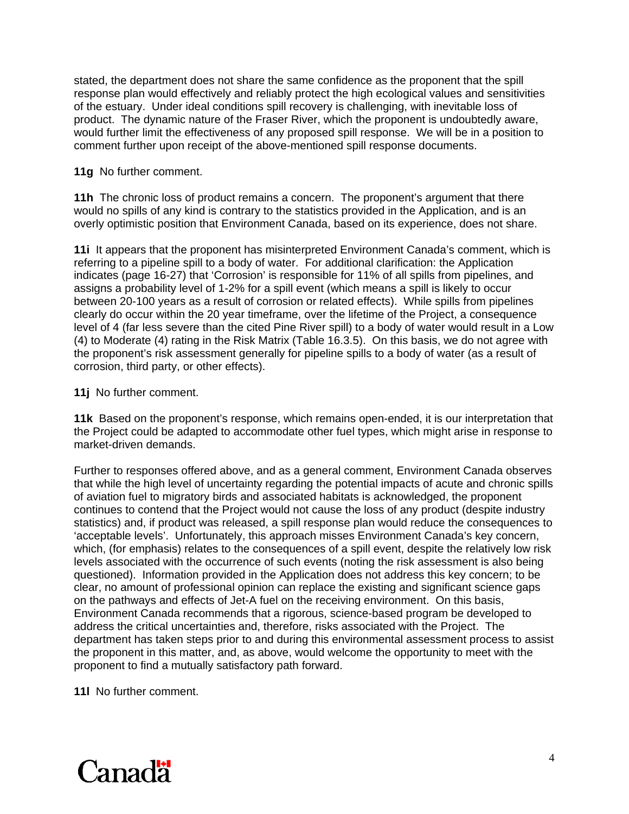stated, the department does not share the same confidence as the proponent that the spill response plan would effectively and reliably protect the high ecological values and sensitivities of the estuary. Under ideal conditions spill recovery is challenging, with inevitable loss of product. The dynamic nature of the Fraser River, which the proponent is undoubtedly aware, would further limit the effectiveness of any proposed spill response. We will be in a position to comment further upon receipt of the above-mentioned spill response documents.

**11g** No further comment.

**11h** The chronic loss of product remains a concern. The proponent's argument that there would no spills of any kind is contrary to the statistics provided in the Application, and is an overly optimistic position that Environment Canada, based on its experience, does not share.

**11i** It appears that the proponent has misinterpreted Environment Canada's comment, which is referring to a pipeline spill to a body of water. For additional clarification: the Application indicates (page 16-27) that 'Corrosion' is responsible for 11% of all spills from pipelines, and assigns a probability level of 1-2% for a spill event (which means a spill is likely to occur between 20-100 years as a result of corrosion or related effects). While spills from pipelines clearly do occur within the 20 year timeframe, over the lifetime of the Project, a consequence level of 4 (far less severe than the cited Pine River spill) to a body of water would result in a Low (4) to Moderate (4) rating in the Risk Matrix (Table 16.3.5). On this basis, we do not agree with the proponent's risk assessment generally for pipeline spills to a body of water (as a result of corrosion, third party, or other effects).

**11j** No further comment.

**11k** Based on the proponent's response, which remains open-ended, it is our interpretation that the Project could be adapted to accommodate other fuel types, which might arise in response to market-driven demands.

Further to responses offered above, and as a general comment, Environment Canada observes that while the high level of uncertainty regarding the potential impacts of acute and chronic spills of aviation fuel to migratory birds and associated habitats is acknowledged, the proponent continues to contend that the Project would not cause the loss of any product (despite industry statistics) and, if product was released, a spill response plan would reduce the consequences to 'acceptable levels'. Unfortunately, this approach misses Environment Canada's key concern, which, (for emphasis) relates to the consequences of a spill event, despite the relatively low risk levels associated with the occurrence of such events (noting the risk assessment is also being questioned). Information provided in the Application does not address this key concern; to be clear, no amount of professional opinion can replace the existing and significant science gaps on the pathways and effects of Jet-A fuel on the receiving environment. On this basis, Environment Canada recommends that a rigorous, science-based program be developed to address the critical uncertainties and, therefore, risks associated with the Project. The department has taken steps prior to and during this environmental assessment process to assist the proponent in this matter, and, as above, would welcome the opportunity to meet with the proponent to find a mutually satisfactory path forward.

**11l** No further comment.

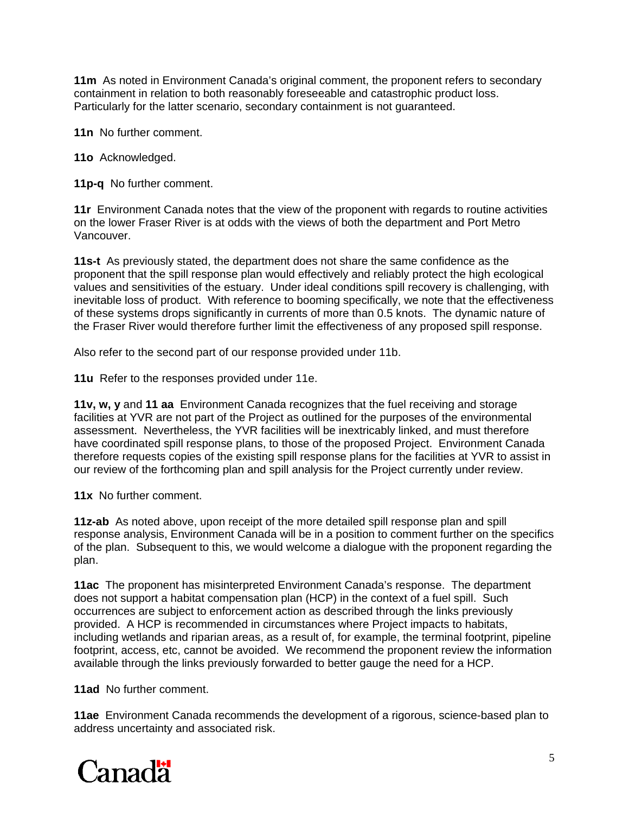**11m** As noted in Environment Canada's original comment, the proponent refers to secondary containment in relation to both reasonably foreseeable and catastrophic product loss. Particularly for the latter scenario, secondary containment is not guaranteed.

**11n** No further comment.

**11o** Acknowledged.

**11p-q** No further comment.

**11r** Environment Canada notes that the view of the proponent with regards to routine activities on the lower Fraser River is at odds with the views of both the department and Port Metro Vancouver.

**11s-t** As previously stated, the department does not share the same confidence as the proponent that the spill response plan would effectively and reliably protect the high ecological values and sensitivities of the estuary. Under ideal conditions spill recovery is challenging, with inevitable loss of product. With reference to booming specifically, we note that the effectiveness of these systems drops significantly in currents of more than 0.5 knots. The dynamic nature of the Fraser River would therefore further limit the effectiveness of any proposed spill response.

Also refer to the second part of our response provided under 11b.

**11u** Refer to the responses provided under 11e.

**11v, w, y** and **11 aa** Environment Canada recognizes that the fuel receiving and storage facilities at YVR are not part of the Project as outlined for the purposes of the environmental assessment. Nevertheless, the YVR facilities will be inextricably linked, and must therefore have coordinated spill response plans, to those of the proposed Project. Environment Canada therefore requests copies of the existing spill response plans for the facilities at YVR to assist in our review of the forthcoming plan and spill analysis for the Project currently under review.

**11x** No further comment.

**11z-ab** As noted above, upon receipt of the more detailed spill response plan and spill response analysis, Environment Canada will be in a position to comment further on the specifics of the plan. Subsequent to this, we would welcome a dialogue with the proponent regarding the plan.

**11ac** The proponent has misinterpreted Environment Canada's response. The department does not support a habitat compensation plan (HCP) in the context of a fuel spill. Such occurrences are subject to enforcement action as described through the links previously provided. A HCP is recommended in circumstances where Project impacts to habitats, including wetlands and riparian areas, as a result of, for example, the terminal footprint, pipeline footprint, access, etc, cannot be avoided. We recommend the proponent review the information available through the links previously forwarded to better gauge the need for a HCP.

**11ad** No further comment.

**11ae** Environment Canada recommends the development of a rigorous, science-based plan to address uncertainty and associated risk.

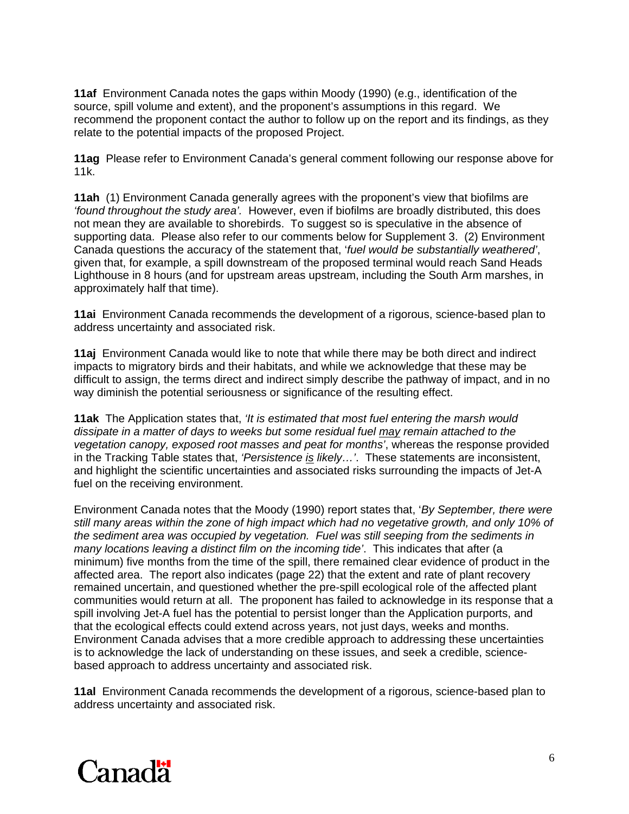**11af** Environment Canada notes the gaps within Moody (1990) (e.g., identification of the source, spill volume and extent), and the proponent's assumptions in this regard. We recommend the proponent contact the author to follow up on the report and its findings, as they relate to the potential impacts of the proposed Project.

**11ag** Please refer to Environment Canada's general comment following our response above for 11k.

**11ah** (1) Environment Canada generally agrees with the proponent's view that biofilms are *'found throughout the study area'.* However, even if biofilms are broadly distributed, this does not mean they are available to shorebirds. To suggest so is speculative in the absence of supporting data. Please also refer to our comments below for Supplement 3. (2) Environment Canada questions the accuracy of the statement that, '*fuel would be substantially weathered'*, given that, for example, a spill downstream of the proposed terminal would reach Sand Heads Lighthouse in 8 hours (and for upstream areas upstream, including the South Arm marshes, in approximately half that time).

**11ai** Environment Canada recommends the development of a rigorous, science-based plan to address uncertainty and associated risk.

**11aj** Environment Canada would like to note that while there may be both direct and indirect impacts to migratory birds and their habitats, and while we acknowledge that these may be difficult to assign, the terms direct and indirect simply describe the pathway of impact, and in no way diminish the potential seriousness or significance of the resulting effect.

**11ak** The Application states that, *'It is estimated that most fuel entering the marsh would dissipate in a matter of days to weeks but some residual fuel may remain attached to the vegetation canopy, exposed root masses and peat for months'*, whereas the response provided in the Tracking Table states that, *'Persistence is likely…'*. These statements are inconsistent, and highlight the scientific uncertainties and associated risks surrounding the impacts of Jet-A fuel on the receiving environment.

Environment Canada notes that the Moody (1990) report states that, '*By September, there were still many areas within the zone of high impact which had no vegetative growth, and only 10% of the sediment area was occupied by vegetation. Fuel was still seeping from the sediments in many locations leaving a distinct film on the incoming tide'*. This indicates that after (a minimum) five months from the time of the spill, there remained clear evidence of product in the affected area. The report also indicates (page 22) that the extent and rate of plant recovery remained uncertain, and questioned whether the pre-spill ecological role of the affected plant communities would return at all. The proponent has failed to acknowledge in its response that a spill involving Jet-A fuel has the potential to persist longer than the Application purports, and that the ecological effects could extend across years, not just days, weeks and months. Environment Canada advises that a more credible approach to addressing these uncertainties is to acknowledge the lack of understanding on these issues, and seek a credible, sciencebased approach to address uncertainty and associated risk.

**11al** Environment Canada recommends the development of a rigorous, science-based plan to address uncertainty and associated risk.

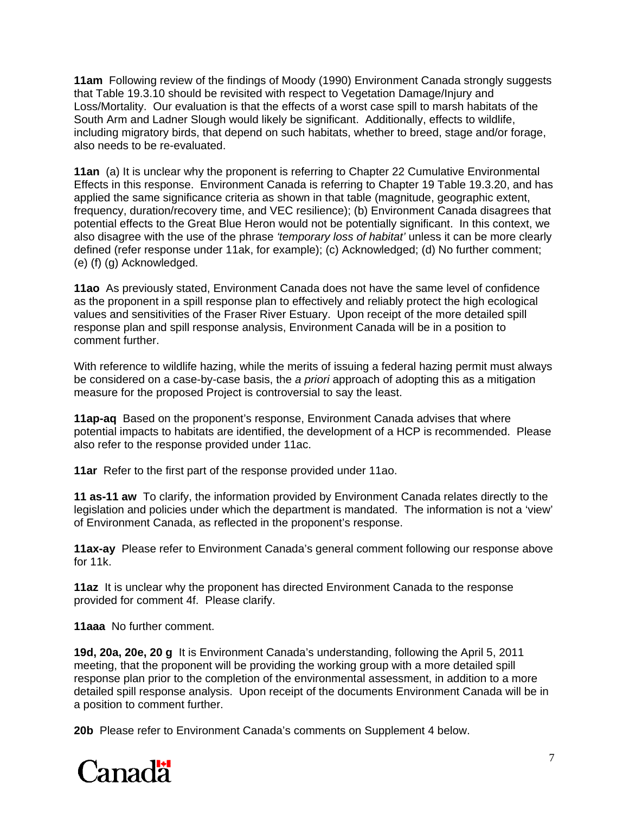**11am** Following review of the findings of Moody (1990) Environment Canada strongly suggests that Table 19.3.10 should be revisited with respect to Vegetation Damage/Injury and Loss/Mortality. Our evaluation is that the effects of a worst case spill to marsh habitats of the South Arm and Ladner Slough would likely be significant. Additionally, effects to wildlife, including migratory birds, that depend on such habitats, whether to breed, stage and/or forage, also needs to be re-evaluated.

**11an** (a) It is unclear why the proponent is referring to Chapter 22 Cumulative Environmental Effects in this response. Environment Canada is referring to Chapter 19 Table 19.3.20, and has applied the same significance criteria as shown in that table (magnitude, geographic extent, frequency, duration/recovery time, and VEC resilience); (b) Environment Canada disagrees that potential effects to the Great Blue Heron would not be potentially significant. In this context, we also disagree with the use of the phrase *'temporary loss of habitat'* unless it can be more clearly defined (refer response under 11ak, for example); (c) Acknowledged; (d) No further comment; (e) (f) (g) Acknowledged.

**11ao** As previously stated, Environment Canada does not have the same level of confidence as the proponent in a spill response plan to effectively and reliably protect the high ecological values and sensitivities of the Fraser River Estuary. Upon receipt of the more detailed spill response plan and spill response analysis, Environment Canada will be in a position to comment further.

With reference to wildlife hazing, while the merits of issuing a federal hazing permit must always be considered on a case-by-case basis, the *a priori* approach of adopting this as a mitigation measure for the proposed Project is controversial to say the least.

**11ap-aq** Based on the proponent's response, Environment Canada advises that where potential impacts to habitats are identified, the development of a HCP is recommended. Please also refer to the response provided under 11ac.

**11ar** Refer to the first part of the response provided under 11ao.

**11 as-11 aw** To clarify, the information provided by Environment Canada relates directly to the legislation and policies under which the department is mandated. The information is not a 'view' of Environment Canada, as reflected in the proponent's response.

**11ax-ay** Please refer to Environment Canada's general comment following our response above for 11k.

**11az** It is unclear why the proponent has directed Environment Canada to the response provided for comment 4f. Please clarify.

**11aaa** No further comment.

**19d, 20a, 20e, 20 g** It is Environment Canada's understanding, following the April 5, 2011 meeting, that the proponent will be providing the working group with a more detailed spill response plan prior to the completion of the environmental assessment, in addition to a more detailed spill response analysis. Upon receipt of the documents Environment Canada will be in a position to comment further.

**20b** Please refer to Environment Canada's comments on Supplement 4 below.

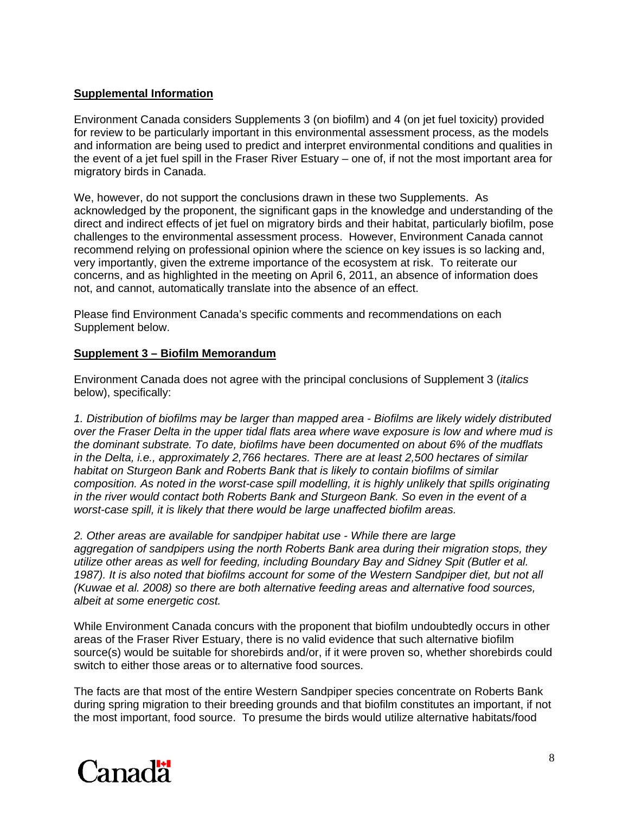#### **Supplemental Information**

Environment Canada considers Supplements 3 (on biofilm) and 4 (on jet fuel toxicity) provided for review to be particularly important in this environmental assessment process, as the models and information are being used to predict and interpret environmental conditions and qualities in the event of a jet fuel spill in the Fraser River Estuary – one of, if not the most important area for migratory birds in Canada.

We, however, do not support the conclusions drawn in these two Supplements. As acknowledged by the proponent, the significant gaps in the knowledge and understanding of the direct and indirect effects of jet fuel on migratory birds and their habitat, particularly biofilm, pose challenges to the environmental assessment process. However, Environment Canada cannot recommend relying on professional opinion where the science on key issues is so lacking and, very importantly, given the extreme importance of the ecosystem at risk. To reiterate our concerns, and as highlighted in the meeting on April 6, 2011, an absence of information does not, and cannot, automatically translate into the absence of an effect.

Please find Environment Canada's specific comments and recommendations on each Supplement below.

#### **Supplement 3 – Biofilm Memorandum**

Environment Canada does not agree with the principal conclusions of Supplement 3 (*italics* below), specifically:

*1. Distribution of biofilms may be larger than mapped area - Biofilms are likely widely distributed over the Fraser Delta in the upper tidal flats area where wave exposure is low and where mud is the dominant substrate. To date, biofilms have been documented on about 6% of the mudflats in the Delta, i.e., approximately 2,766 hectares. There are at least 2,500 hectares of similar habitat on Sturgeon Bank and Roberts Bank that is likely to contain biofilms of similar composition. As noted in the worst-case spill modelling, it is highly unlikely that spills originating in the river would contact both Roberts Bank and Sturgeon Bank. So even in the event of a worst-case spill, it is likely that there would be large unaffected biofilm areas.* 

*2. Other areas are available for sandpiper habitat use - While there are large aggregation of sandpipers using the north Roberts Bank area during their migration stops, they utilize other areas as well for feeding, including Boundary Bay and Sidney Spit (Butler et al.*  1987). It is also noted that biofilms account for some of the Western Sandpiper diet, but not all *(Kuwae et al. 2008) so there are both alternative feeding areas and alternative food sources, albeit at some energetic cost.* 

While Environment Canada concurs with the proponent that biofilm undoubtedly occurs in other areas of the Fraser River Estuary, there is no valid evidence that such alternative biofilm source(s) would be suitable for shorebirds and/or, if it were proven so, whether shorebirds could switch to either those areas or to alternative food sources.

The facts are that most of the entire Western Sandpiper species concentrate on Roberts Bank during spring migration to their breeding grounds and that biofilm constitutes an important, if not the most important, food source. To presume the birds would utilize alternative habitats/food

# Canadä<sup>1</sup>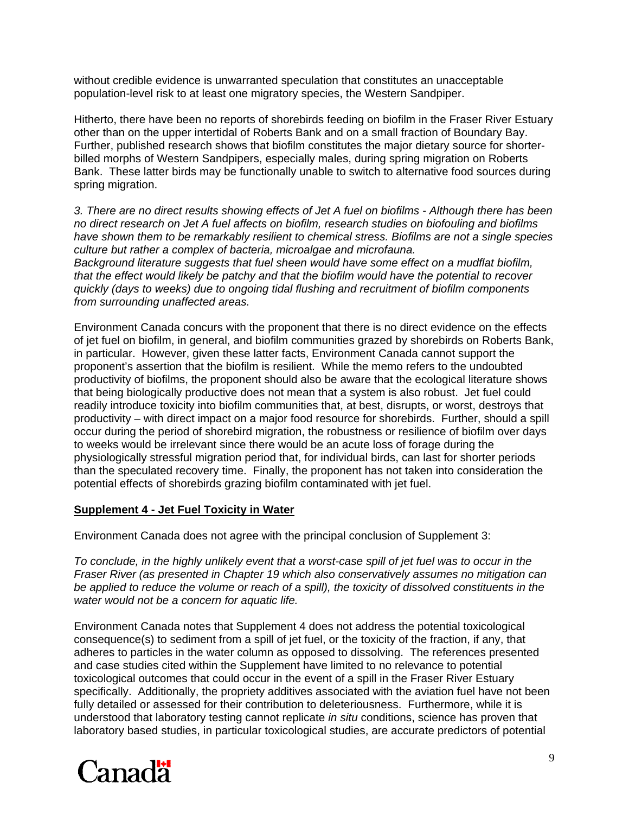without credible evidence is unwarranted speculation that constitutes an unacceptable population-level risk to at least one migratory species, the Western Sandpiper.

Hitherto, there have been no reports of shorebirds feeding on biofilm in the Fraser River Estuary other than on the upper intertidal of Roberts Bank and on a small fraction of Boundary Bay. Further, published research shows that biofilm constitutes the major dietary source for shorterbilled morphs of Western Sandpipers, especially males, during spring migration on Roberts Bank. These latter birds may be functionally unable to switch to alternative food sources during spring migration.

*3. There are no direct results showing effects of Jet A fuel on biofilms - Although there has been no direct research on Jet A fuel affects on biofilm, research studies on biofouling and biofilms have shown them to be remarkably resilient to chemical stress. Biofilms are not a single species culture but rather a complex of bacteria, microalgae and microfauna.* 

*Background literature suggests that fuel sheen would have some effect on a mudflat biofilm, that the effect would likely be patchy and that the biofilm would have the potential to recover quickly (days to weeks) due to ongoing tidal flushing and recruitment of biofilm components from surrounding unaffected areas.* 

Environment Canada concurs with the proponent that there is no direct evidence on the effects of jet fuel on biofilm, in general, and biofilm communities grazed by shorebirds on Roberts Bank, in particular. However, given these latter facts, Environment Canada cannot support the proponent's assertion that the biofilm is resilient. While the memo refers to the undoubted productivity of biofilms, the proponent should also be aware that the ecological literature shows that being biologically productive does not mean that a system is also robust. Jet fuel could readily introduce toxicity into biofilm communities that, at best, disrupts, or worst, destroys that productivity – with direct impact on a major food resource for shorebirds. Further, should a spill occur during the period of shorebird migration, the robustness or resilience of biofilm over days to weeks would be irrelevant since there would be an acute loss of forage during the physiologically stressful migration period that, for individual birds, can last for shorter periods than the speculated recovery time. Finally, the proponent has not taken into consideration the potential effects of shorebirds grazing biofilm contaminated with jet fuel.

#### **Supplement 4 - Jet Fuel Toxicity in Water**

Environment Canada does not agree with the principal conclusion of Supplement 3:

*To conclude, in the highly unlikely event that a worst-case spill of jet fuel was to occur in the Fraser River (as presented in Chapter 19 which also conservatively assumes no mitigation can be applied to reduce the volume or reach of a spill), the toxicity of dissolved constituents in the water would not be a concern for aquatic life.* 

Environment Canada notes that Supplement 4 does not address the potential toxicological consequence(s) to sediment from a spill of jet fuel, or the toxicity of the fraction, if any, that adheres to particles in the water column as opposed to dissolving. The references presented and case studies cited within the Supplement have limited to no relevance to potential toxicological outcomes that could occur in the event of a spill in the Fraser River Estuary specifically. Additionally, the propriety additives associated with the aviation fuel have not been fully detailed or assessed for their contribution to deleteriousness. Furthermore, while it is understood that laboratory testing cannot replicate *in situ* conditions, science has proven that laboratory based studies, in particular toxicological studies, are accurate predictors of potential

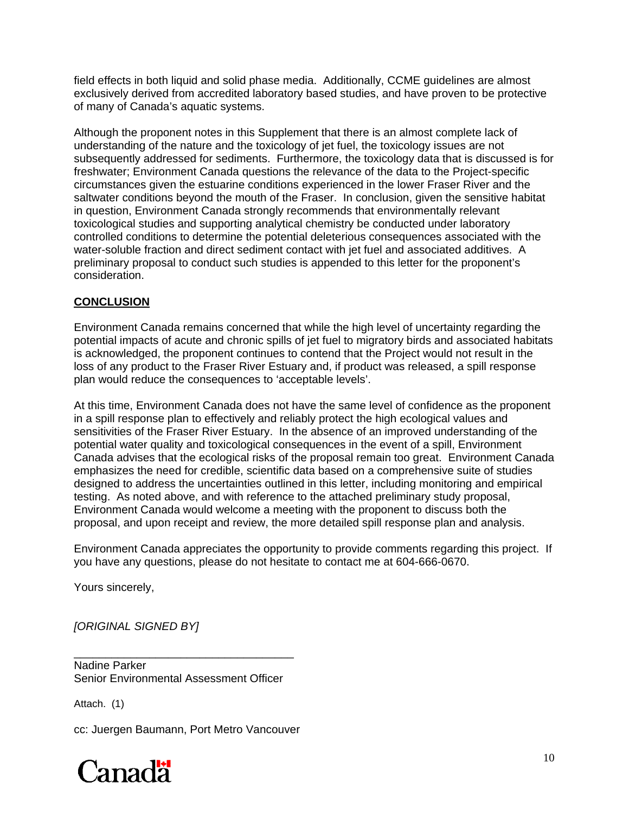field effects in both liquid and solid phase media. Additionally, CCME guidelines are almost exclusively derived from accredited laboratory based studies, and have proven to be protective of many of Canada's aquatic systems.

Although the proponent notes in this Supplement that there is an almost complete lack of understanding of the nature and the toxicology of jet fuel, the toxicology issues are not subsequently addressed for sediments. Furthermore, the toxicology data that is discussed is for freshwater; Environment Canada questions the relevance of the data to the Project-specific circumstances given the estuarine conditions experienced in the lower Fraser River and the saltwater conditions beyond the mouth of the Fraser. In conclusion, given the sensitive habitat in question, Environment Canada strongly recommends that environmentally relevant toxicological studies and supporting analytical chemistry be conducted under laboratory controlled conditions to determine the potential deleterious consequences associated with the water-soluble fraction and direct sediment contact with jet fuel and associated additives. A preliminary proposal to conduct such studies is appended to this letter for the proponent's consideration.

## **CONCLUSION**

Environment Canada remains concerned that while the high level of uncertainty regarding the potential impacts of acute and chronic spills of jet fuel to migratory birds and associated habitats is acknowledged, the proponent continues to contend that the Project would not result in the loss of any product to the Fraser River Estuary and, if product was released, a spill response plan would reduce the consequences to 'acceptable levels'.

At this time, Environment Canada does not have the same level of confidence as the proponent in a spill response plan to effectively and reliably protect the high ecological values and sensitivities of the Fraser River Estuary. In the absence of an improved understanding of the potential water quality and toxicological consequences in the event of a spill, Environment Canada advises that the ecological risks of the proposal remain too great. Environment Canada emphasizes the need for credible, scientific data based on a comprehensive suite of studies designed to address the uncertainties outlined in this letter, including monitoring and empirical testing. As noted above, and with reference to the attached preliminary study proposal, Environment Canada would welcome a meeting with the proponent to discuss both the proposal, and upon receipt and review, the more detailed spill response plan and analysis.

Environment Canada appreciates the opportunity to provide comments regarding this project. If you have any questions, please do not hesitate to contact me at 604-666-0670.

Yours sincerely,

*[ORIGINAL SIGNED BY]* 

Nadine Parker Senior Environmental Assessment Officer

\_\_\_\_\_\_\_\_\_\_\_\_\_\_\_\_\_\_\_\_\_\_\_\_\_\_\_\_\_\_\_\_\_\_\_

Attach. (1)

cc: Juergen Baumann, Port Metro Vancouver

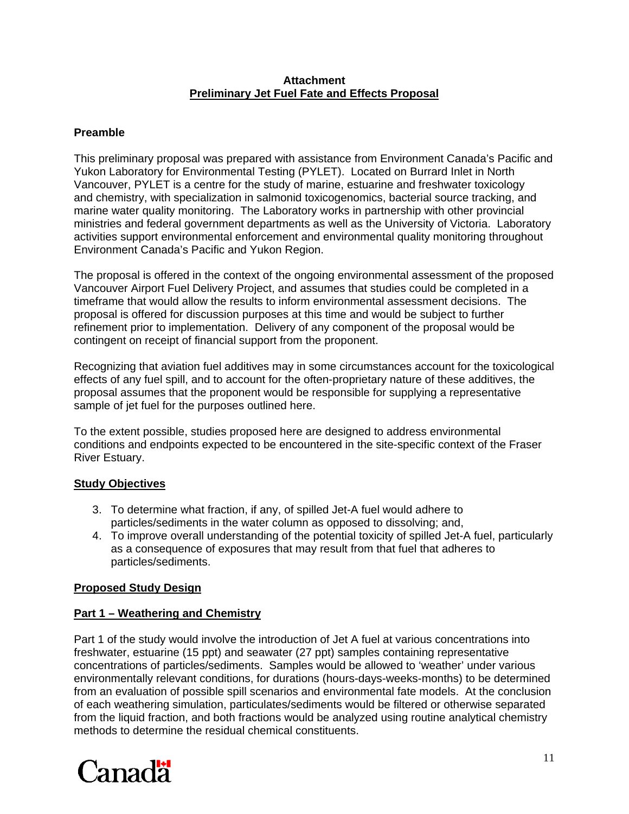#### **Attachment Preliminary Jet Fuel Fate and Effects Proposal**

## **Preamble**

This preliminary proposal was prepared with assistance from Environment Canada's Pacific and Yukon Laboratory for Environmental Testing (PYLET). Located on Burrard Inlet in North Vancouver, PYLET is a centre for the study of marine, estuarine and freshwater toxicology and chemistry, with specialization in salmonid toxicogenomics, bacterial source tracking, and marine water quality monitoring. The Laboratory works in partnership with other provincial ministries and federal government departments as well as the University of Victoria. Laboratory activities support environmental enforcement and environmental quality monitoring throughout Environment Canada's Pacific and Yukon Region.

The proposal is offered in the context of the ongoing environmental assessment of the proposed Vancouver Airport Fuel Delivery Project, and assumes that studies could be completed in a timeframe that would allow the results to inform environmental assessment decisions. The proposal is offered for discussion purposes at this time and would be subject to further refinement prior to implementation. Delivery of any component of the proposal would be contingent on receipt of financial support from the proponent.

Recognizing that aviation fuel additives may in some circumstances account for the toxicological effects of any fuel spill, and to account for the often-proprietary nature of these additives, the proposal assumes that the proponent would be responsible for supplying a representative sample of jet fuel for the purposes outlined here.

To the extent possible, studies proposed here are designed to address environmental conditions and endpoints expected to be encountered in the site-specific context of the Fraser River Estuary.

## **Study Objectives**

- 3. To determine what fraction, if any, of spilled Jet-A fuel would adhere to particles/sediments in the water column as opposed to dissolving; and,
- 4. To improve overall understanding of the potential toxicity of spilled Jet-A fuel, particularly as a consequence of exposures that may result from that fuel that adheres to particles/sediments.

## **Proposed Study Design**

## **Part 1 – Weathering and Chemistry**

Part 1 of the study would involve the introduction of Jet A fuel at various concentrations into freshwater, estuarine (15 ppt) and seawater (27 ppt) samples containing representative concentrations of particles/sediments. Samples would be allowed to 'weather' under various environmentally relevant conditions, for durations (hours-days-weeks-months) to be determined from an evaluation of possible spill scenarios and environmental fate models. At the conclusion of each weathering simulation, particulates/sediments would be filtered or otherwise separated from the liquid fraction, and both fractions would be analyzed using routine analytical chemistry methods to determine the residual chemical constituents.

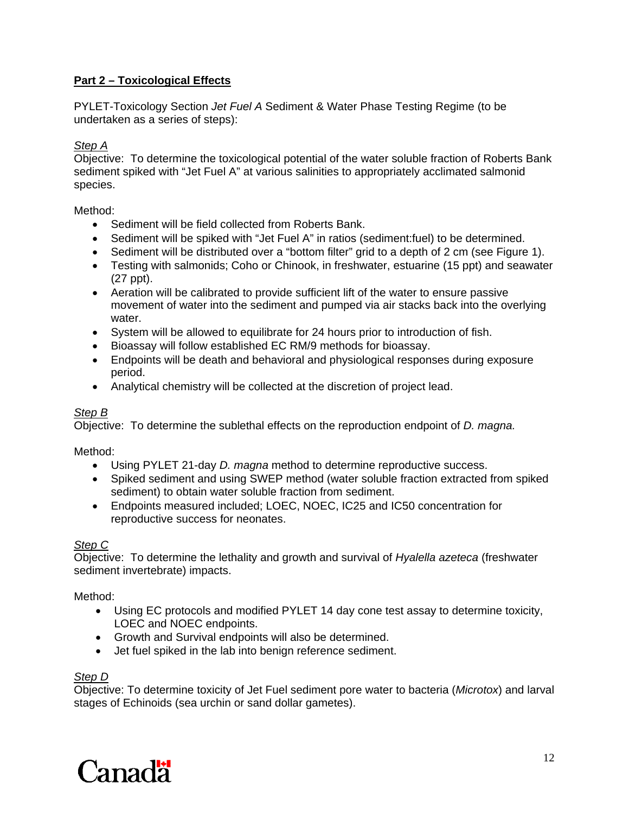## **Part 2 – Toxicological Effects**

PYLET-Toxicology Section *Jet Fuel A* Sediment & Water Phase Testing Regime (to be undertaken as a series of steps):

#### *Step A*

Objective: To determine the toxicological potential of the water soluble fraction of Roberts Bank sediment spiked with "Jet Fuel A" at various salinities to appropriately acclimated salmonid species.

Method:

- Sediment will be field collected from Roberts Bank.
- Sediment will be spiked with "Jet Fuel A" in ratios (sediment:fuel) to be determined.
- Sediment will be distributed over a "bottom filter" grid to a depth of 2 cm (see Figure 1).
- Testing with salmonids; Coho or Chinook, in freshwater, estuarine (15 ppt) and seawater (27 ppt).
- Aeration will be calibrated to provide sufficient lift of the water to ensure passive movement of water into the sediment and pumped via air stacks back into the overlying water.
- System will be allowed to equilibrate for 24 hours prior to introduction of fish.
- Bioassay will follow established EC RM/9 methods for bioassay.
- Endpoints will be death and behavioral and physiological responses during exposure period.
- Analytical chemistry will be collected at the discretion of project lead.

## *Step B*

Objective: To determine the sublethal effects on the reproduction endpoint of *D. magna.* 

Method:

- Using PYLET 21-day *D. magna* method to determine reproductive success.
- Spiked sediment and using SWEP method (water soluble fraction extracted from spiked sediment) to obtain water soluble fraction from sediment.
- Endpoints measured included; LOEC, NOEC, IC25 and IC50 concentration for reproductive success for neonates.

#### *Step C*

Objective: To determine the lethality and growth and survival of *Hyalella azeteca* (freshwater sediment invertebrate) impacts.

Method:

- Using EC protocols and modified PYLET 14 day cone test assay to determine toxicity, LOEC and NOEC endpoints.
- Growth and Survival endpoints will also be determined.
- Jet fuel spiked in the lab into benign reference sediment.

#### *Step D*

Objective: To determine toxicity of Jet Fuel sediment pore water to bacteria (*Microtox*) and larval stages of Echinoids (sea urchin or sand dollar gametes).

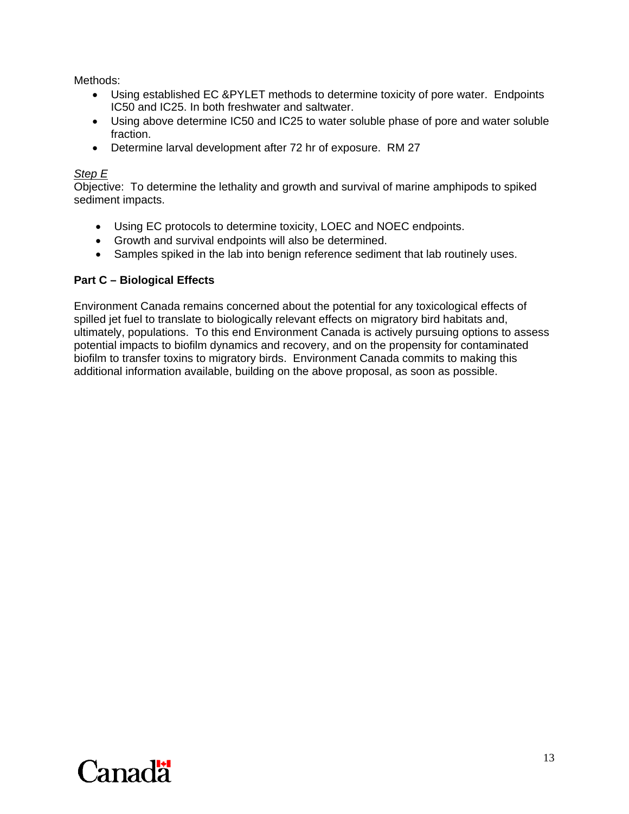Methods:

- Using established EC &PYLET methods to determine toxicity of pore water. Endpoints IC50 and IC25. In both freshwater and saltwater.
- Using above determine IC50 and IC25 to water soluble phase of pore and water soluble fraction.
- Determine larval development after 72 hr of exposure. RM 27

#### *Step E*

Objective: To determine the lethality and growth and survival of marine amphipods to spiked sediment impacts.

- Using EC protocols to determine toxicity, LOEC and NOEC endpoints.
- Growth and survival endpoints will also be determined.
- Samples spiked in the lab into benign reference sediment that lab routinely uses.

## **Part C – Biological Effects**

Environment Canada remains concerned about the potential for any toxicological effects of spilled jet fuel to translate to biologically relevant effects on migratory bird habitats and, ultimately, populations. To this end Environment Canada is actively pursuing options to assess potential impacts to biofilm dynamics and recovery, and on the propensity for contaminated biofilm to transfer toxins to migratory birds. Environment Canada commits to making this additional information available, building on the above proposal, as soon as possible.